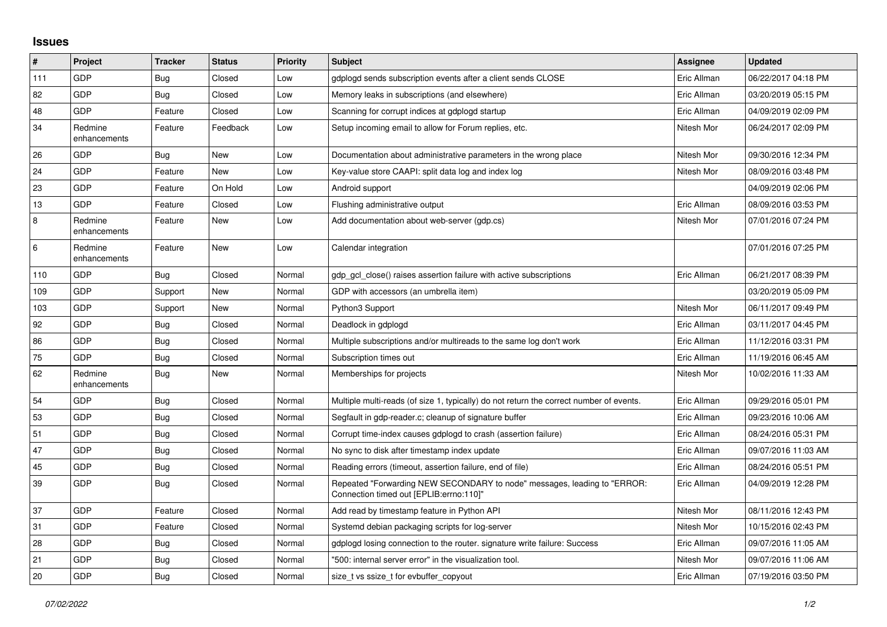## **Issues**

| #   | Project                 | <b>Tracker</b> | <b>Status</b> | <b>Priority</b> | <b>Subject</b>                                                                                                      | Assignee    | <b>Updated</b>      |
|-----|-------------------------|----------------|---------------|-----------------|---------------------------------------------------------------------------------------------------------------------|-------------|---------------------|
| 111 | <b>GDP</b>              | <b>Bug</b>     | Closed        | Low             | gdplogd sends subscription events after a client sends CLOSE                                                        | Eric Allman | 06/22/2017 04:18 PM |
| 82  | GDP                     | <b>Bug</b>     | Closed        | Low             | Memory leaks in subscriptions (and elsewhere)                                                                       | Eric Allman | 03/20/2019 05:15 PM |
| 48  | GDP                     | Feature        | Closed        | Low             | Scanning for corrupt indices at gdplogd startup                                                                     | Eric Allman | 04/09/2019 02:09 PM |
| 34  | Redmine<br>enhancements | Feature        | Feedback      | Low             | Setup incoming email to allow for Forum replies, etc.                                                               | Nitesh Mor  | 06/24/2017 02:09 PM |
| 26  | <b>GDP</b>              | <b>Bug</b>     | New           | Low             | Documentation about administrative parameters in the wrong place                                                    | Nitesh Mor  | 09/30/2016 12:34 PM |
| 24  | GDP                     | Feature        | New           | Low             | Key-value store CAAPI: split data log and index log                                                                 | Nitesh Mor  | 08/09/2016 03:48 PM |
| 23  | <b>GDP</b>              | Feature        | On Hold       | Low             | Android support                                                                                                     |             | 04/09/2019 02:06 PM |
| 13  | <b>GDP</b>              | Feature        | Closed        | Low             | Flushing administrative output                                                                                      | Eric Allman | 08/09/2016 03:53 PM |
| 8   | Redmine<br>enhancements | Feature        | <b>New</b>    | Low             | Add documentation about web-server (qdp.cs)                                                                         | Nitesh Mor  | 07/01/2016 07:24 PM |
| 6   | Redmine<br>enhancements | Feature        | New           | Low             | Calendar integration                                                                                                |             | 07/01/2016 07:25 PM |
| 110 | <b>GDP</b>              | Bug            | Closed        | Normal          | gdp_gcl_close() raises assertion failure with active subscriptions                                                  | Eric Allman | 06/21/2017 08:39 PM |
| 109 | <b>GDP</b>              | Support        | New           | Normal          | GDP with accessors (an umbrella item)                                                                               |             | 03/20/2019 05:09 PM |
| 103 | GDP                     | Support        | New           | Normal          | Python3 Support                                                                                                     | Nitesh Mor  | 06/11/2017 09:49 PM |
| 92  | <b>GDP</b>              | Bug            | Closed        | Normal          | Deadlock in gdplogd                                                                                                 | Eric Allman | 03/11/2017 04:45 PM |
| 86  | <b>GDP</b>              | <b>Bug</b>     | Closed        | Normal          | Multiple subscriptions and/or multireads to the same log don't work                                                 | Eric Allman | 11/12/2016 03:31 PM |
| 75  | GDP                     | <b>Bug</b>     | Closed        | Normal          | Subscription times out                                                                                              | Eric Allman | 11/19/2016 06:45 AM |
| 62  | Redmine<br>enhancements | Bug            | New           | Normal          | Memberships for projects                                                                                            | Nitesh Mor  | 10/02/2016 11:33 AM |
| 54  | <b>GDP</b>              | Bug            | Closed        | Normal          | Multiple multi-reads (of size 1, typically) do not return the correct number of events.                             | Eric Allman | 09/29/2016 05:01 PM |
| 53  | <b>GDP</b>              | Bug            | Closed        | Normal          | Segfault in gdp-reader.c; cleanup of signature buffer                                                               | Eric Allman | 09/23/2016 10:06 AM |
| 51  | GDP                     | <b>Bug</b>     | Closed        | Normal          | Corrupt time-index causes gdplogd to crash (assertion failure)                                                      | Eric Allman | 08/24/2016 05:31 PM |
| 47  | <b>GDP</b>              | <b>Bug</b>     | Closed        | Normal          | No sync to disk after timestamp index update                                                                        | Eric Allman | 09/07/2016 11:03 AM |
| 45  | <b>GDP</b>              | <b>Bug</b>     | Closed        | Normal          | Reading errors (timeout, assertion failure, end of file)                                                            | Eric Allman | 08/24/2016 05:51 PM |
| 39  | <b>GDP</b>              | <b>Bug</b>     | Closed        | Normal          | Repeated "Forwarding NEW SECONDARY to node" messages, leading to "ERROR:<br>Connection timed out [EPLIB:errno:110]" | Eric Allman | 04/09/2019 12:28 PM |
| 37  | <b>GDP</b>              | Feature        | Closed        | Normal          | Add read by timestamp feature in Python API                                                                         | Nitesh Mor  | 08/11/2016 12:43 PM |
| 31  | <b>GDP</b>              | Feature        | Closed        | Normal          | Systemd debian packaging scripts for log-server                                                                     | Nitesh Mor  | 10/15/2016 02:43 PM |
| 28  | <b>GDP</b>              | <b>Bug</b>     | Closed        | Normal          | gdplogd losing connection to the router, signature write failure: Success                                           | Eric Allman | 09/07/2016 11:05 AM |
| 21  | GDP                     | Bug            | Closed        | Normal          | "500: internal server error" in the visualization tool.                                                             | Nitesh Mor  | 09/07/2016 11:06 AM |
| 20  | <b>GDP</b>              | <b>Bug</b>     | Closed        | Normal          | size t vs ssize t for evbuffer copyout                                                                              | Eric Allman | 07/19/2016 03:50 PM |